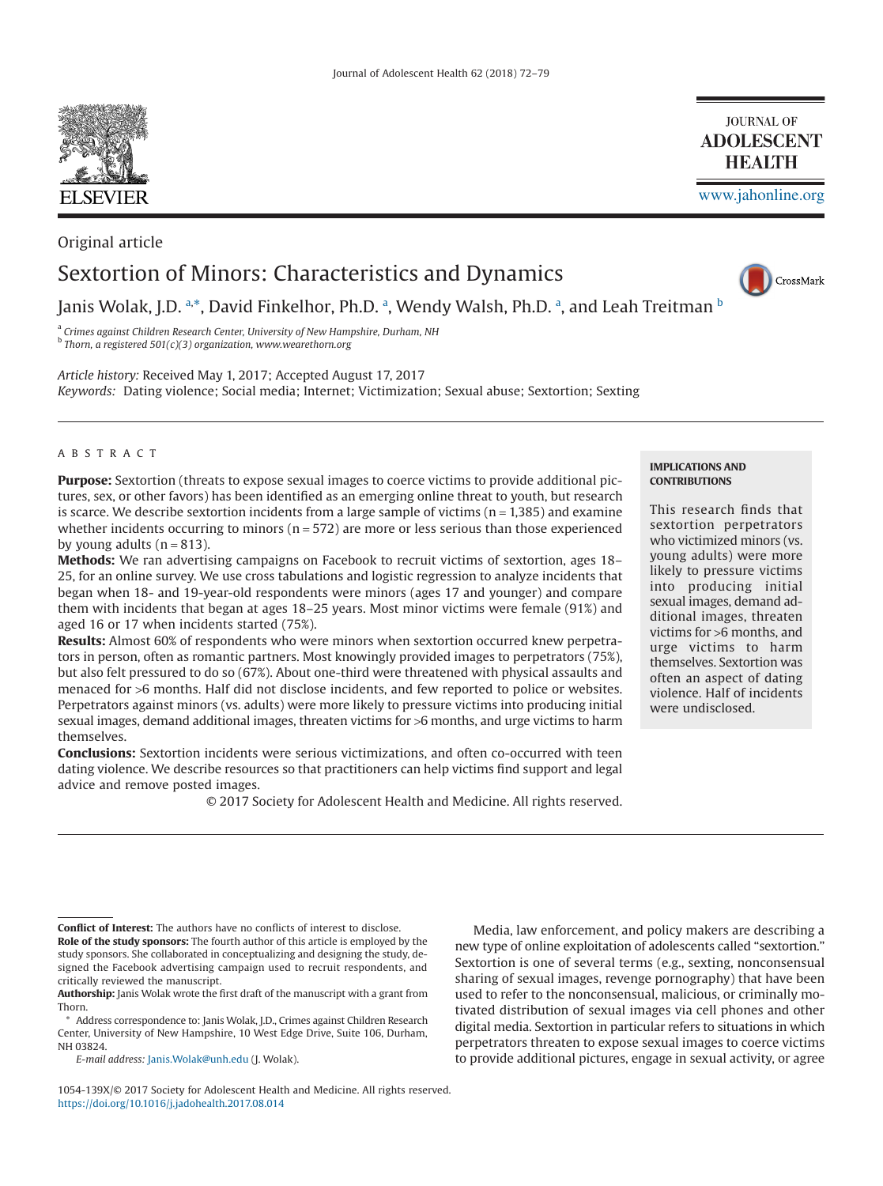

# Original article Sextortion of Minors: Characteristics and Dynamics



[www.jahonline.org](http://www.jahonline.org)

**JOURNAL OF ADOLESCENT HEALTH** 

Janis Wolak, J.D. [a,](#page-0-0)[\\*,](#page-0-1) D[a](#page-0-0)vid Finkelhor, Ph.D. a, Wendy Walsh, Ph.D. a, and Leah Treitman [b](#page-0-2)

<span id="page-0-2"></span><span id="page-0-0"></span><sup>a</sup> Crimes against Children Research Center, University of New Hampshire, Durham, NH <sup>b</sup> *Thorn, a registered 501(c)(3) organization, www.wearethorn.org*

*Article history:* Received May 1, 2017; Accepted August 17, 2017 *Keywords:* Dating violence; Social media; Internet; Victimization; Sexual abuse; Sextortion; Sexting

# ABSTRACT

**Purpose:** Sextortion (threats to expose sexual images to coerce victims to provide additional pictures, sex, or other favors) has been identified as an emerging online threat to youth, but research is scarce. We describe sextortion incidents from a large sample of victims ( $n = 1,385$ ) and examine whether incidents occurring to minors ( $n = 572$ ) are more or less serious than those experienced by young adults  $(n = 813)$ .

**Methods:** We ran advertising campaigns on Facebook to recruit victims of sextortion, ages 18– 25, for an online survey. We use cross tabulations and logistic regression to analyze incidents that began when 18- and 19-year-old respondents were minors (ages 17 and younger) and compare them with incidents that began at ages 18–25 years. Most minor victims were female (91%) and aged 16 or 17 when incidents started (75%).

**Results:** Almost 60% of respondents who were minors when sextortion occurred knew perpetrators in person, often as romantic partners. Most knowingly provided images to perpetrators (75%), but also felt pressured to do so (67%). About one-third were threatened with physical assaults and menaced for >6 months. Half did not disclose incidents, and few reported to police or websites. Perpetrators against minors (vs. adults) were more likely to pressure victims into producing initial sexual images, demand additional images, threaten victims for >6 months, and urge victims to harm themselves.

**Conclusions:** Sextortion incidents were serious victimizations, and often co-occurred with teen dating violence. We describe resources so that practitioners can help victims find support and legal advice and remove posted images.

© 2017 Society for Adolescent Health and Medicine. All rights reserved.

#### **IMPLICATIONS AND CONTRIBUTIONS**

This research finds that sextortion perpetrators who victimized minors (vs. young adults) were more likely to pressure victims into producing initial sexual images, demand additional images, threaten victims for >6 months, and urge victims to harm themselves. Sextortion was often an aspect of dating violence. Half of incidents were undisclosed.

**Conflict of Interest:** The authors have no conflicts of interest to disclose. **Role of the study sponsors:** The fourth author of this article is employed by the study sponsors. She collaborated in conceptualizing and designing the study, designed the Facebook advertising campaign used to recruit respondents, and critically reviewed the manuscript.

*E-mail address:* [Janis.Wolak@unh.edu](mailto:Janis.Wolak@unh.edu) (J. Wolak).

Media, law enforcement, and policy makers are describing a new type of online exploitation of adolescents called "sextortion." Sextortion is one of several terms (e.g., sexting, nonconsensual sharing of sexual images, revenge pornography) that have been used to refer to the nonconsensual, malicious, or criminally motivated distribution of sexual images via cell phones and other digital media. Sextortion in particular refers to situations in which perpetrators threaten to expose sexual images to coerce victims to provide additional pictures, engage in sexual activity, or agree

1054-139X/© 2017 Society for Adolescent Health and Medicine. All rights reserved. https://doi.org/10.1016/j.jadohealth.2017.08.014

**Authorship:** Janis Wolak wrote the first draft of the manuscript with a grant from Thorn.

<span id="page-0-1"></span>Address correspondence to: Janis Wolak, J.D., Crimes against Children Research Center, University of New Hampshire, 10 West Edge Drive, Suite 106, Durham, NH 03824.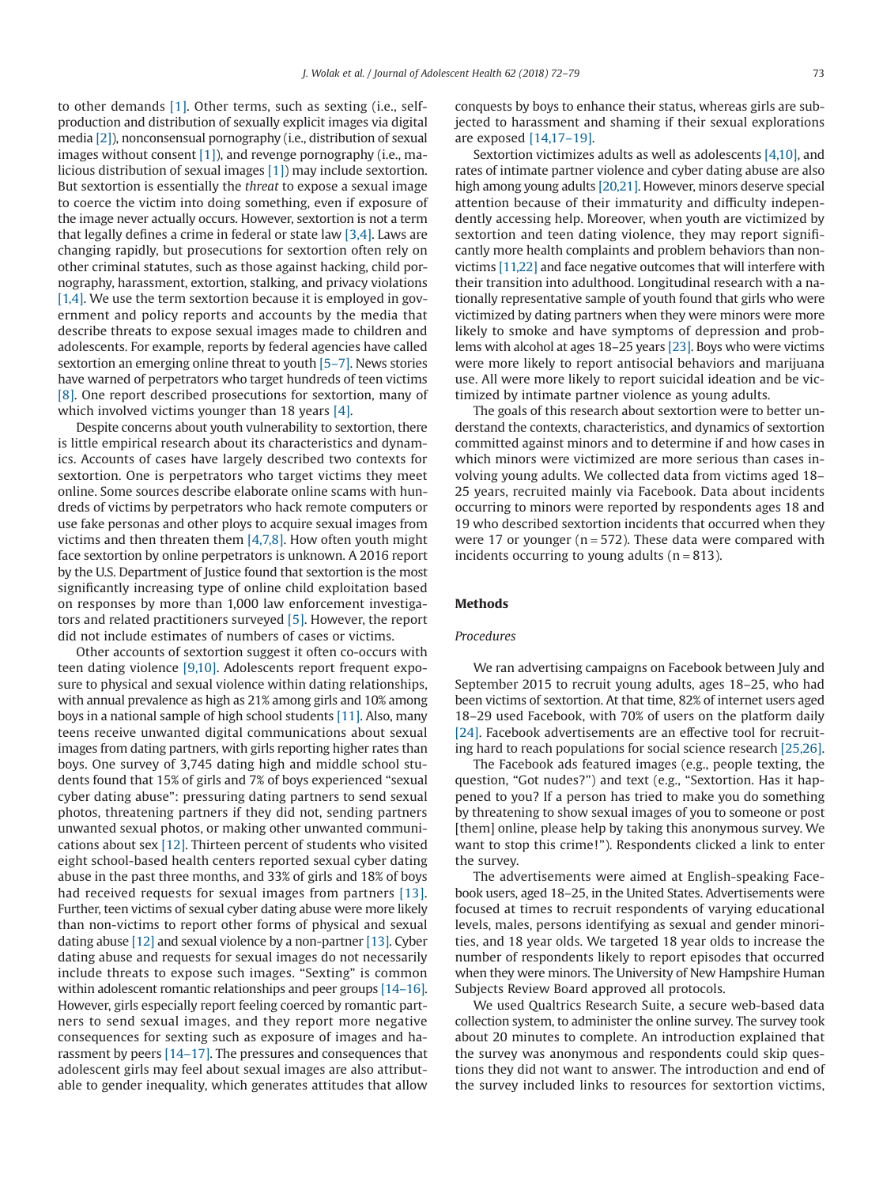to other demands [\[1\].](#page-6-0) Other terms, such as sexting (i.e., selfproduction and distribution of sexually explicit images via digital media [\[2\]\)](#page-6-1), nonconsensual pornography (i.e., distribution of sexual images without consent [\[1\]\)](#page-6-0), and revenge pornography (i.e., malicious distribution of sexual images [\[1\]\)](#page-6-0) may include sextortion. But sextortion is essentially the *threat* to expose a sexual image to coerce the victim into doing something, even if exposure of the image never actually occurs. However, sextortion is not a term that legally defines a crime in federal or state law [\[3,4\].](#page-6-2) Laws are changing rapidly, but prosecutions for sextortion often rely on other criminal statutes, such as those against hacking, child pornography, harassment, extortion, stalking, and privacy violations [\[1,4\].](#page-6-0) We use the term sextortion because it is employed in government and policy reports and accounts by the media that describe threats to expose sexual images made to children and adolescents. For example, reports by federal agencies have called sextortion an emerging online threat to youth [\[5–7\].](#page-6-3) News stories have warned of perpetrators who target hundreds of teen victims [\[8\].](#page-6-4) One report described prosecutions for sextortion, many of which involved victims younger than 18 years [\[4\].](#page-6-5)

Despite concerns about youth vulnerability to sextortion, there is little empirical research about its characteristics and dynamics. Accounts of cases have largely described two contexts for sextortion. One is perpetrators who target victims they meet online. Some sources describe elaborate online scams with hundreds of victims by perpetrators who hack remote computers or use fake personas and other ploys to acquire sexual images from victims and then threaten them [\[4,7,8\].](#page-6-5) How often youth might face sextortion by online perpetrators is unknown. A 2016 report by the U.S. Department of Justice found that sextortion is the most significantly increasing type of online child exploitation based on responses by more than 1,000 law enforcement investigators and related practitioners surveyed [\[5\].](#page-6-3) However, the report did not include estimates of numbers of cases or victims.

Other accounts of sextortion suggest it often co-occurs with teen dating violence [\[9,10\].](#page-6-6) Adolescents report frequent exposure to physical and sexual violence within dating relationships, with annual prevalence as high as 21% among girls and 10% among boys in a national sample of high school students [\[11\].](#page-6-7) Also, many teens receive unwanted digital communications about sexual images from dating partners, with girls reporting higher rates than boys. One survey of 3,745 dating high and middle school students found that 15% of girls and 7% of boys experienced "sexual cyber dating abuse": pressuring dating partners to send sexual photos, threatening partners if they did not, sending partners unwanted sexual photos, or making other unwanted communications about sex [\[12\].](#page-6-8) Thirteen percent of students who visited eight school-based health centers reported sexual cyber dating abuse in the past three months, and 33% of girls and 18% of boys had received requests for sexual images from partners [\[13\].](#page-6-9) Further, teen victims of sexual cyber dating abuse were more likely than non-victims to report other forms of physical and sexual dating abuse [\[12\]](#page-6-8) and sexual violence by a non-partner [\[13\].](#page-6-9) Cyber dating abuse and requests for sexual images do not necessarily include threats to expose such images. "Sexting" is common within adolescent romantic relationships and peer groups [\[14–16\].](#page-6-10) However, girls especially report feeling coerced by romantic partners to send sexual images, and they report more negative consequences for sexting such as exposure of images and harassment by peers [\[14–17\].](#page-6-10) The pressures and consequences that adolescent girls may feel about sexual images are also attributable to gender inequality, which generates attitudes that allow

conquests by boys to enhance their status, whereas girls are subjected to harassment and shaming if their sexual explorations are exposed [\[14,17–19\].](#page-6-10)

Sextortion victimizes adults as well as adolescents [\[4,10\],](#page-6-5) and rates of intimate partner violence and cyber dating abuse are also high among young adults [\[20,21\].](#page-6-11) However, minors deserve special attention because of their immaturity and difficulty independently accessing help. Moreover, when youth are victimized by sextortion and teen dating violence, they may report significantly more health complaints and problem behaviors than nonvictims [\[11,22\]](#page-6-7) and face negative outcomes that will interfere with their transition into adulthood. Longitudinal research with a nationally representative sample of youth found that girls who were victimized by dating partners when they were minors were more likely to smoke and have symptoms of depression and problems with alcohol at ages 18–25 years [\[23\].](#page-7-0) Boys who were victims were more likely to report antisocial behaviors and marijuana use. All were more likely to report suicidal ideation and be victimized by intimate partner violence as young adults.

The goals of this research about sextortion were to better understand the contexts, characteristics, and dynamics of sextortion committed against minors and to determine if and how cases in which minors were victimized are more serious than cases involving young adults. We collected data from victims aged 18– 25 years, recruited mainly via Facebook. Data about incidents occurring to minors were reported by respondents ages 18 and 19 who described sextortion incidents that occurred when they were 17 or younger ( $n = 572$ ). These data were compared with incidents occurring to young adults ( $n = 813$ ).

#### **Methods**

#### *Procedures*

We ran advertising campaigns on Facebook between July and September 2015 to recruit young adults, ages 18–25, who had been victims of sextortion. At that time, 82% of internet users aged 18–29 used Facebook, with 70% of users on the platform daily [\[24\].](#page-7-1) Facebook advertisements are an effective tool for recruiting hard to reach populations for social science research [\[25,26\].](#page-7-2)

The Facebook ads featured images (e.g., people texting, the question, "Got nudes?") and text (e.g., "Sextortion. Has it happened to you? If a person has tried to make you do something by threatening to show sexual images of you to someone or post [them] online, please help by taking this anonymous survey. We want to stop this crime!"). Respondents clicked a link to enter the survey.

The advertisements were aimed at English-speaking Facebook users, aged 18–25, in the United States. Advertisements were focused at times to recruit respondents of varying educational levels, males, persons identifying as sexual and gender minorities, and 18 year olds. We targeted 18 year olds to increase the number of respondents likely to report episodes that occurred when they were minors. The University of New Hampshire Human Subjects Review Board approved all protocols.

We used Qualtrics Research Suite, a secure web-based data collection system, to administer the online survey. The survey took about 20 minutes to complete. An introduction explained that the survey was anonymous and respondents could skip questions they did not want to answer. The introduction and end of the survey included links to resources for sextortion victims,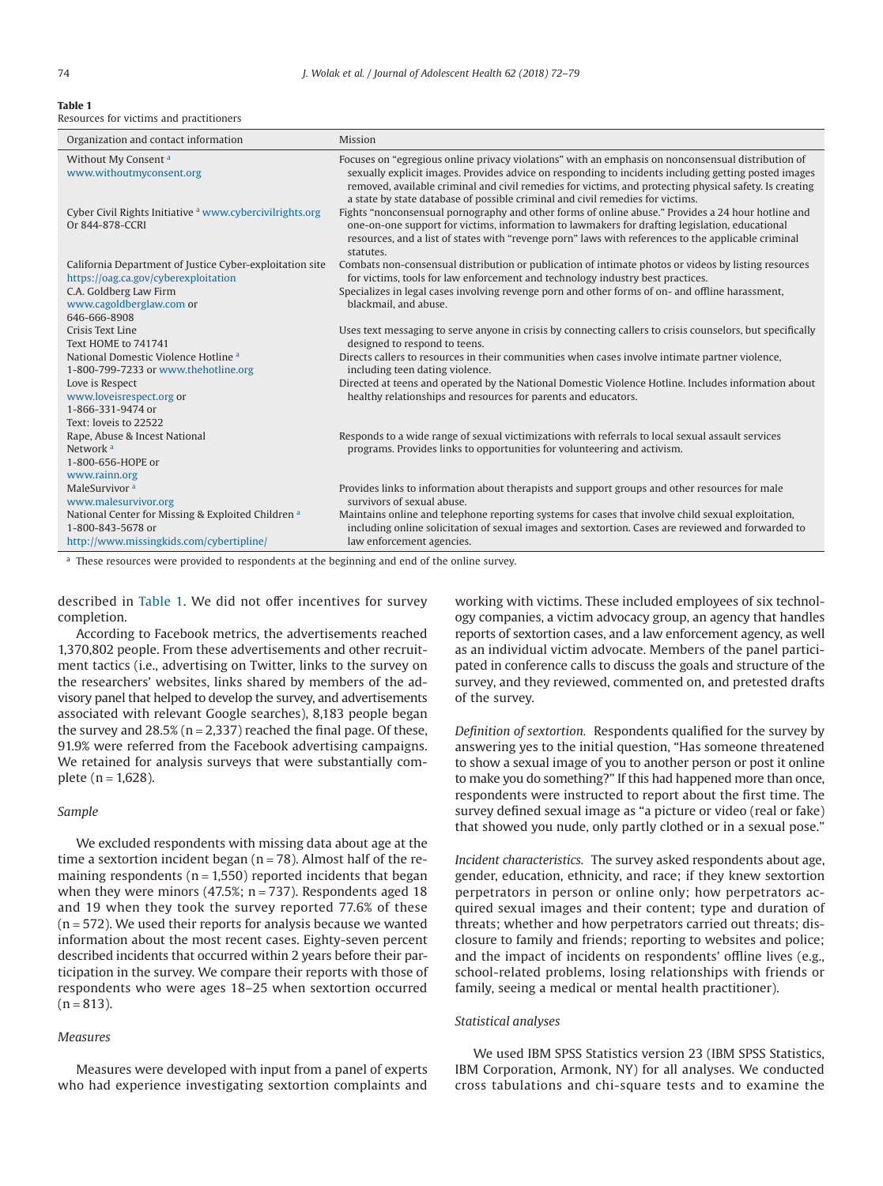<span id="page-2-0"></span>**Table 1**

| iavit i |  |                                         |
|---------|--|-----------------------------------------|
|         |  | Resources for victims and practitioners |

| Mission                                                                                                                                                                                                                                                                                                                                                                                                 |
|---------------------------------------------------------------------------------------------------------------------------------------------------------------------------------------------------------------------------------------------------------------------------------------------------------------------------------------------------------------------------------------------------------|
| Focuses on "egregious online privacy violations" with an emphasis on nonconsensual distribution of<br>sexually explicit images. Provides advice on responding to incidents including getting posted images<br>removed, available criminal and civil remedies for victims, and protecting physical safety. Is creating<br>a state by state database of possible criminal and civil remedies for victims. |
| Fights "nonconsensual pornography and other forms of online abuse." Provides a 24 hour hotline and<br>one-on-one support for victims, information to lawmakers for drafting legislation, educational<br>resources, and a list of states with "revenge porn" laws with references to the applicable criminal<br>statutes.                                                                                |
| Combats non-consensual distribution or publication of intimate photos or videos by listing resources                                                                                                                                                                                                                                                                                                    |
| for victims, tools for law enforcement and technology industry best practices.<br>Specializes in legal cases involving revenge porn and other forms of on- and offline harassment,<br>blackmail, and abuse.                                                                                                                                                                                             |
| Uses text messaging to serve anyone in crisis by connecting callers to crisis counselors, but specifically<br>designed to respond to teens.                                                                                                                                                                                                                                                             |
| Directs callers to resources in their communities when cases involve intimate partner violence,<br>including teen dating violence.                                                                                                                                                                                                                                                                      |
| Directed at teens and operated by the National Domestic Violence Hotline. Includes information about<br>healthy relationships and resources for parents and educators.                                                                                                                                                                                                                                  |
| Responds to a wide range of sexual victimizations with referrals to local sexual assault services<br>programs. Provides links to opportunities for volunteering and activism.                                                                                                                                                                                                                           |
| Provides links to information about therapists and support groups and other resources for male<br>survivors of sexual abuse.                                                                                                                                                                                                                                                                            |
| Maintains online and telephone reporting systems for cases that involve child sexual exploitation,<br>including online solicitation of sexual images and sextortion. Cases are reviewed and forwarded to<br>law enforcement agencies.                                                                                                                                                                   |
|                                                                                                                                                                                                                                                                                                                                                                                                         |

<span id="page-2-1"></span><sup>a</sup> These resources were provided to respondents at the beginning and end of the online survey.

described in [Table 1.](#page-2-0) We did not offer incentives for survey completion.

According to Facebook metrics, the advertisements reached 1,370,802 people. From these advertisements and other recruitment tactics (i.e., advertising on Twitter, links to the survey on the researchers' websites, links shared by members of the advisory panel that helped to develop the survey, and advertisements associated with relevant Google searches), 8,183 people began the survey and  $28.5\%$  (n = 2,337) reached the final page. Of these, 91.9% were referred from the Facebook advertising campaigns. We retained for analysis surveys that were substantially complete ( $n = 1,628$ ).

## *Sample*

We excluded respondents with missing data about age at the time a sextortion incident began ( $n = 78$ ). Almost half of the remaining respondents ( $n = 1,550$ ) reported incidents that began when they were minors (47.5%;  $n = 737$ ). Respondents aged 18 and 19 when they took the survey reported 77.6% of these  $(n = 572)$ . We used their reports for analysis because we wanted information about the most recent cases. Eighty-seven percent described incidents that occurred within 2 years before their participation in the survey. We compare their reports with those of respondents who were ages 18–25 when sextortion occurred  $(n = 813)$ .

#### *Measures*

Measures were developed with input from a panel of experts who had experience investigating sextortion complaints and

working with victims. These included employees of six technology companies, a victim advocacy group, an agency that handles reports of sextortion cases, and a law enforcement agency, as well as an individual victim advocate. Members of the panel participated in conference calls to discuss the goals and structure of the survey, and they reviewed, commented on, and pretested drafts of the survey.

*Definition of sextortion.* Respondents qualified for the survey by answering yes to the initial question, "Has someone threatened to show a sexual image of you to another person or post it online to make you do something?" If this had happened more than once, respondents were instructed to report about the first time. The survey defined sexual image as "a picture or video (real or fake) that showed you nude, only partly clothed or in a sexual pose."

*Incident characteristics.* The survey asked respondents about age, gender, education, ethnicity, and race; if they knew sextortion perpetrators in person or online only; how perpetrators acquired sexual images and their content; type and duration of threats; whether and how perpetrators carried out threats; disclosure to family and friends; reporting to websites and police; and the impact of incidents on respondents' offline lives (e.g., school-related problems, losing relationships with friends or family, seeing a medical or mental health practitioner).

# *Statistical analyses*

We used IBM SPSS Statistics version 23 (IBM SPSS Statistics, IBM Corporation, Armonk, NY) for all analyses. We conducted cross tabulations and chi-square tests and to examine the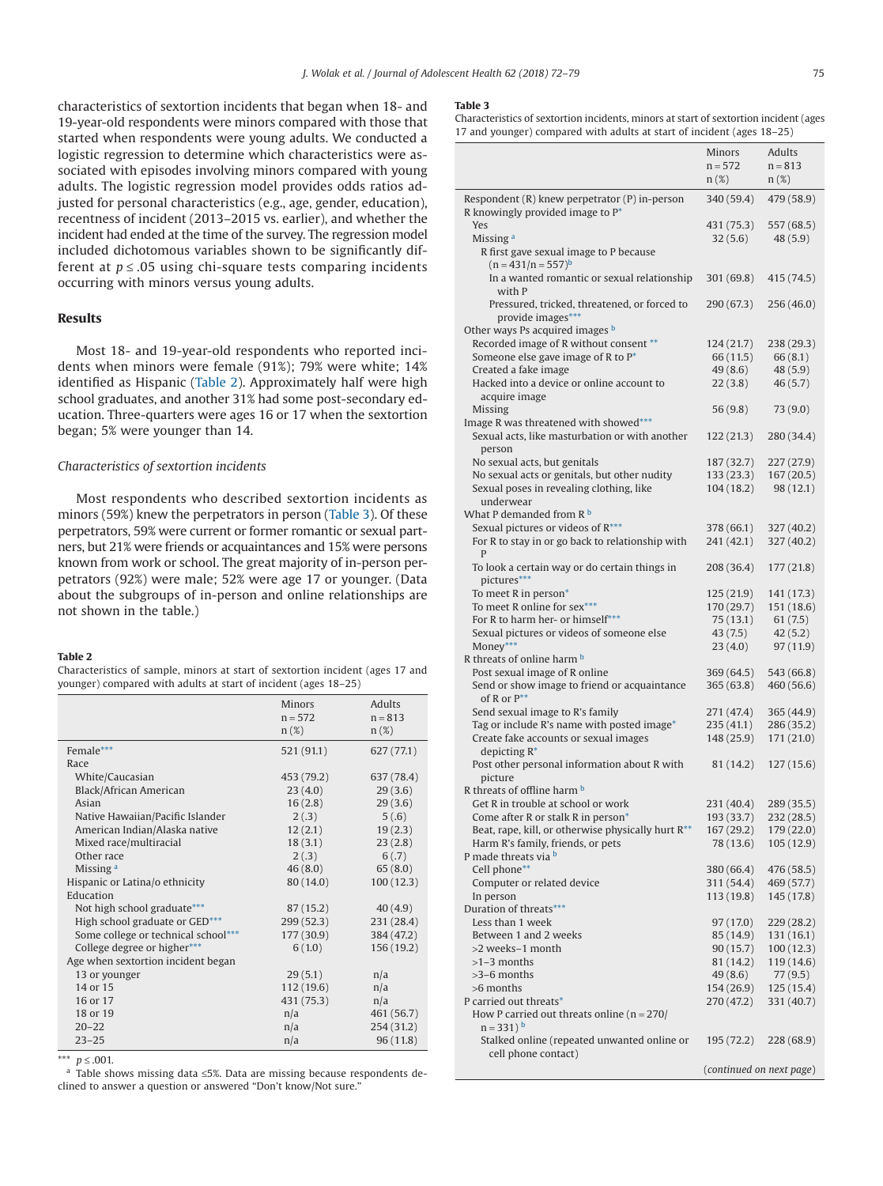characteristics of sextortion incidents that began when 18- and 19-year-old respondents were minors compared with those that started when respondents were young adults. We conducted a logistic regression to determine which characteristics were associated with episodes involving minors compared with young adults. The logistic regression model provides odds ratios adjusted for personal characteristics (e.g., age, gender, education), recentness of incident (2013–2015 vs. earlier), and whether the incident had ended at the time of the survey. The regression model included dichotomous variables shown to be significantly different at  $p \leq 0.05$  using chi-square tests comparing incidents occurring with minors versus young adults.

## **Results**

Most 18- and 19-year-old respondents who reported incidents when minors were female (91%); 79% were white; 14% identified as Hispanic [\(Table 2\)](#page-3-0). Approximately half were high school graduates, and another 31% had some post-secondary education. Three-quarters were ages 16 or 17 when the sextortion began; 5% were younger than 14.

# *Characteristics of sextortion incidents*

Most respondents who described sextortion incidents as minors (59%) knew the perpetrators in person [\(Table 3\)](#page-3-1). Of these perpetrators, 59% were current or former romantic or sexual partners, but 21% were friends or acquaintances and 15% were persons known from work or school. The great majority of in-person perpetrators (92%) were male; 52% were age 17 or younger. (Data about the subgroups of in-person and online relationships are not shown in the table.)

#### <span id="page-3-0"></span>**Table 2**

Characteristics of sample, minors at start of sextortion incident (ages 17 and younger) compared with adults at start of incident (ages 18–25)

|                                     | <b>Minors</b> | Adults     |
|-------------------------------------|---------------|------------|
|                                     | $n = 572$     | $n = 813$  |
|                                     | $n(\%)$       | $n(\%)$    |
| Female***                           | 521 (91.1)    | 627(77.1)  |
| Race                                |               |            |
| White/Caucasian                     | 453 (79.2)    | 637 (78.4) |
| Black/African American              | 23(4.0)       | 29(3.6)    |
| Asian                               | 16(2.8)       | 29(3.6)    |
| Native Hawaiian/Pacific Islander    | 2(.3)         | 5(.6)      |
| American Indian/Alaska native       | 12(2.1)       | 19(2.3)    |
| Mixed race/multiracial              | 18(3.1)       | 23(2.8)    |
| Other race                          | 2(.3)         | 6(.7)      |
| Missing <sup>a</sup>                | 46(8.0)       | 65(8.0)    |
| Hispanic or Latina/o ethnicity      | 80 (14.0)     | 100(12.3)  |
| Education                           |               |            |
| Not high school graduate***         | 87 (15.2)     | 40(4.9)    |
| High school graduate or GED***      | 299(52.3)     | 231 (28.4) |
| Some college or technical school*** | 177 (30.9)    | 384 (47.2) |
| College degree or higher***         | 6(1.0)        | 156 (19.2) |
| Age when sextortion incident began  |               |            |
| 13 or younger                       | 29(5.1)       | n/a        |
| 14 or 15                            | 112(19.6)     | n/a        |
| 16 or 17                            | 431 (75.3)    | n/a        |
| 18 or 19                            | n/a           | 461 (56.7) |
| $20 - 22$                           | n/a           | 254 (31.2) |
| $23 - 25$                           | n/a           | 96(11.8)   |

<span id="page-3-2"></span> $p \leq .001$ .

<span id="page-3-3"></span><sup>a</sup> Table shows missing data ≤5%. Data are missing because respondents declined to answer a question or answered "Don't know/Not sure."

#### <span id="page-3-1"></span>**Table 3**

Characteristics of sextortion incidents, minors at start of sextortion incident (ages 17 and younger) compared with adults at start of incident (ages 18–25)

|                                                                | Minors                   | Adults     |
|----------------------------------------------------------------|--------------------------|------------|
|                                                                |                          |            |
|                                                                | $n = 572$                | $n = 813$  |
|                                                                | $n(\%)$                  | $n(\%)$    |
|                                                                |                          |            |
| Respondent (R) knew perpetrator (P) in-person                  | 340 (59.4)               | 479 (58.9) |
|                                                                |                          |            |
| R knowingly provided image to $P^*$                            |                          |            |
| Yes                                                            | 431 (75.3)               | 557 (68.5) |
| Missing <sup>a</sup>                                           | 32(5.6)                  | 48 (5.9)   |
|                                                                |                          |            |
| R first gave sexual image to P because                         |                          |            |
| $(n = 431/n = 557)^{b}$                                        |                          |            |
| In a wanted romantic or sexual relationship                    |                          |            |
|                                                                | 301 (69.8)               | 415 (74.5) |
| with P                                                         |                          |            |
| Pressured, tricked, threatened, or forced to                   | 290(67.3)                | 256(46.0)  |
|                                                                |                          |            |
| provide images*                                                |                          |            |
| Other ways Ps acquired images <b>b</b>                         |                          |            |
| Recorded image of R without consent **                         | 124 (21.7)               | 238 (29.3) |
|                                                                |                          |            |
| Someone else gave image of R to $P^*$                          | 66 (11.5)                | 66(8.1)    |
| Created a fake image                                           | 49 (8.6)                 | 48 (5.9)   |
| Hacked into a device or online account to                      |                          |            |
|                                                                | 22(3.8)                  | 46(5.7)    |
| acquire image                                                  |                          |            |
| Missing                                                        | 56 (9.8)                 | 73 (9.0)   |
|                                                                |                          |            |
| Image R was threatened with showed***                          |                          |            |
| Sexual acts, like masturbation or with another                 | 122 (21.3)               | 280 (34.4) |
| person                                                         |                          |            |
|                                                                |                          |            |
| No sexual acts, but genitals                                   | 187 (32.7)               | 227 (27.9) |
| No sexual acts or genitals, but other nudity                   | 133(23.3)                | 167(20.5)  |
|                                                                |                          |            |
| Sexual poses in revealing clothing, like                       | 104 (18.2)               | 98 (12.1)  |
| underwear                                                      |                          |            |
| What P demanded from $Rb$                                      |                          |            |
|                                                                |                          |            |
| Sexual pictures or videos of R***                              | 378 (66.1)               | 327 (40.2) |
| For R to stay in or go back to relationship with               | 241 (42.1)               | 327 (40.2) |
| P                                                              |                          |            |
|                                                                |                          |            |
| To look a certain way or do certain things in                  | 208 (36.4)               | 177 (21.8) |
| pictures***                                                    |                          |            |
| To meet R in person*                                           |                          |            |
|                                                                | 125 (21.9)               | 141 (17.3) |
| To meet R online for sex***                                    | 170 (29.7)               | 151 (18.6) |
| For R to harm her- or himself***                               | 75 (13.1)                | 61(7.5)    |
|                                                                |                          |            |
| Sexual pictures or videos of someone else                      | 43 (7.5)                 | 42(5.2)    |
| Money*                                                         | 23(4.0)                  | 97 (11.9)  |
| R threats of online harm b                                     |                          |            |
|                                                                |                          |            |
| Post sexual image of R online                                  | 369 (64.5)               | 543 (66.8) |
| Send or show image to friend or acquaintance                   | 365 (63.8)               | 460 (56.6) |
| of R or $P^{**}$                                               |                          |            |
|                                                                |                          |            |
| Send sexual image to R's family                                | 271 (47.4)               | 365 (44.9) |
| Tag or include R's name with posted image*                     | 235 (41.1)               | 286 (35.2) |
|                                                                |                          |            |
| Create fake accounts or sexual images                          | 148 (25.9)               | 171 (21.0) |
| depicting $R^*$                                                |                          |            |
| Post other personal information about R with                   | 81 (14.2)                | 127(15.6)  |
|                                                                |                          |            |
| picture                                                        |                          |            |
| R threats of offline harm b                                    |                          |            |
| Get R in trouble at school or work                             | 231 (40.4)               | 289 (35.5) |
|                                                                |                          |            |
| Come after R or stalk R in person*                             | 193 (33.7)               | 232 (28.5) |
| Beat, rape, kill, or otherwise physically hurt R <sup>**</sup> | 167 (29.2)               | 179 (22.0) |
| Harm R's family, friends, or pets                              | 78 (13.6)                |            |
|                                                                |                          | 105 (12.9) |
| P made threats via b                                           |                          |            |
| Cell phone**                                                   | 380 (66.4)               | 476 (58.5) |
|                                                                |                          |            |
| Computer or related device                                     | 311 (54.4)               | 469 (57.7) |
| In person                                                      | 113 (19.8)               | 145 (17.8) |
| Duration of threats***                                         |                          |            |
|                                                                |                          |            |
| Less than 1 week                                               | 97 (17.0)                | 229 (28.2) |
| Between 1 and 2 weeks                                          | 85 (14.9)                | 131 (16.1) |
| >2 weeks-1 month                                               | 90 (15.7)                | 100 (12.3) |
|                                                                |                          |            |
| $>1-3$ months                                                  | 81 (14.2)                | 119 (14.6) |
| >3-6 months                                                    | 49 (8.6)                 | 77 (9.5)   |
|                                                                |                          |            |
| >6 months                                                      | 154 (26.9)               | 125 (15.4) |
| P carried out threats*                                         | 270 (47.2)               | 331 (40.7) |
| How P carried out threats online $(n = 270)$                   |                          |            |
|                                                                |                          |            |
| $n = 331$ ) b                                                  |                          |            |
| Stalked online (repeated unwanted online or                    | 195 (72.2)               | 228 (68.9) |
| cell phone contact)                                            |                          |            |
|                                                                |                          |            |
|                                                                | (continued on next page) |            |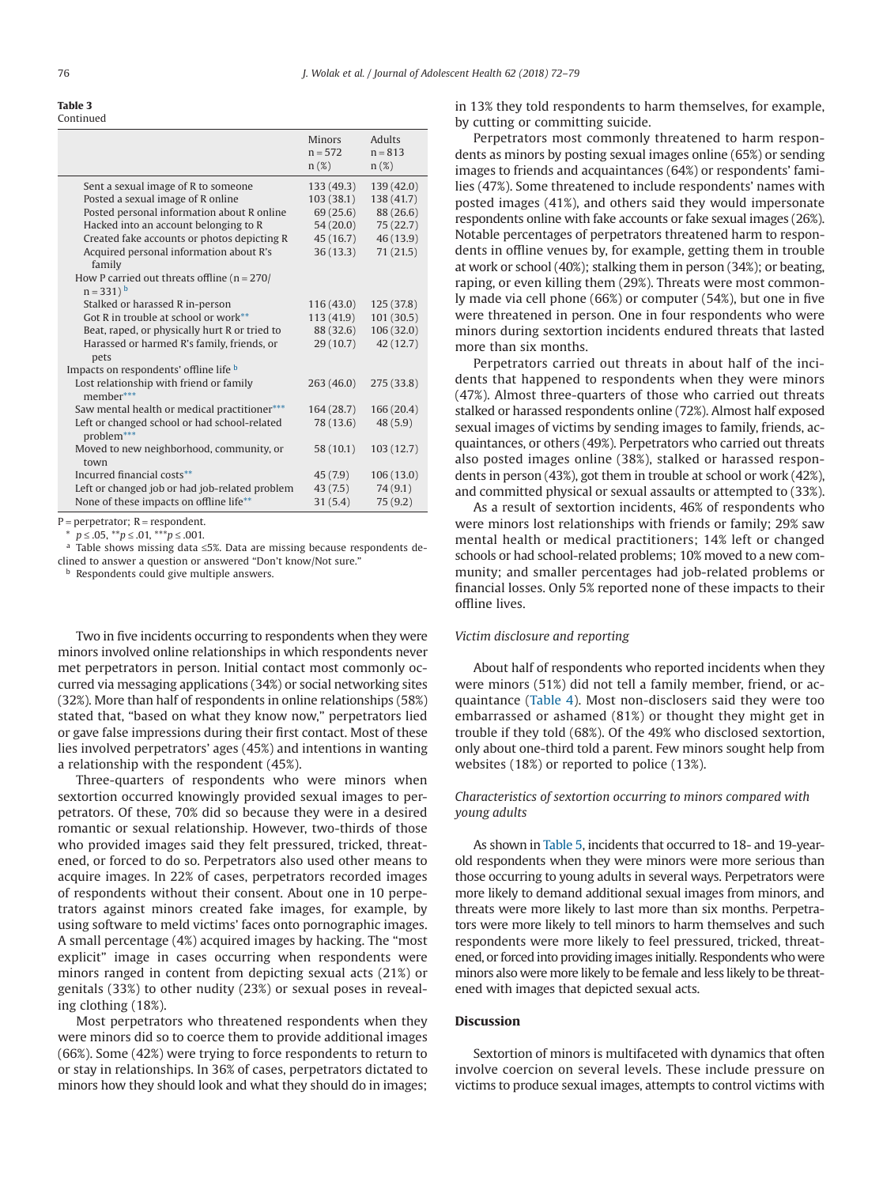# **Table 3**

Continued

|                                                            | <b>Minors</b><br>$n = 572$<br>$n(\%)$ | Adults<br>$n = 813$<br>$n(\%)$ |
|------------------------------------------------------------|---------------------------------------|--------------------------------|
| Sent a sexual image of R to someone                        | 133(49.3)                             | 139 (42.0)                     |
| Posted a sexual image of R online                          | 103(38.1)                             | 138 (41.7)                     |
| Posted personal information about R online                 | 69(25.6)                              | 88 (26.6)                      |
| Hacked into an account belonging to R                      | 54(20.0)                              | 75 (22.7)                      |
| Created fake accounts or photos depicting R                | 45(16.7)                              | 46 (13.9)                      |
| Acquired personal information about R's                    | 36(13.3)                              | 71(21.5)                       |
| family                                                     |                                       |                                |
| How P carried out threats offline ( $n = 270/$             |                                       |                                |
| $n = 331$ ) b                                              |                                       |                                |
| Stalked or harassed R in-person                            | 116(43.0)                             | 125 (37.8)                     |
| Got R in trouble at school or work**                       | 113(41.9)                             | 101(30.5)                      |
| Beat, raped, or physically hurt R or tried to              | 88 (32.6)                             | 106(32.0)                      |
| Harassed or harmed R's family, friends, or                 | 29(10.7)                              | 42 (12.7)                      |
| pets                                                       |                                       |                                |
| Impacts on respondents' offline life b                     |                                       |                                |
| Lost relationship with friend or family<br>member***       | 263(46.0)                             | 275(33.8)                      |
| Saw mental health or medical practitioner***               | 164(28.7)                             | 166 (20.4)                     |
| Left or changed school or had school-related<br>problem*** | 78 (13.6)                             | 48 (5.9)                       |
| Moved to new neighborhood, community, or<br>town           | 58(10.1)                              | 103(12.7)                      |
| Incurred financial costs**                                 | 45(7.9)                               | 106(13.0)                      |
| Left or changed job or had job-related problem             | 43(7.5)                               | 74 (9.1)                       |
| None of these impacts on offline life**                    | 31(5.4)                               | 75(9.2)                        |

<span id="page-4-0"></span> $P =$  perpetrator;  $R =$  respondent.

 $p \leq .05$ , \*\* $p \leq .01$ , \*\*\* $p \leq .001$ .

<span id="page-4-1"></span><sup>a</sup> Table shows missing data ≤5%. Data are missing because respondents declined to answer a question or answered "Don't know/Not sure."

<span id="page-4-2"></span>**b** Respondents could give multiple answers.

Two in five incidents occurring to respondents when they were minors involved online relationships in which respondents never met perpetrators in person. Initial contact most commonly occurred via messaging applications (34%) or social networking sites (32%). More than half of respondents in online relationships (58%) stated that, "based on what they know now," perpetrators lied or gave false impressions during their first contact. Most of these lies involved perpetrators' ages (45%) and intentions in wanting a relationship with the respondent (45%).

Three-quarters of respondents who were minors when sextortion occurred knowingly provided sexual images to perpetrators. Of these, 70% did so because they were in a desired romantic or sexual relationship. However, two-thirds of those who provided images said they felt pressured, tricked, threatened, or forced to do so. Perpetrators also used other means to acquire images. In 22% of cases, perpetrators recorded images of respondents without their consent. About one in 10 perpetrators against minors created fake images, for example, by using software to meld victims' faces onto pornographic images. A small percentage (4%) acquired images by hacking. The "most explicit" image in cases occurring when respondents were minors ranged in content from depicting sexual acts (21%) or genitals (33%) to other nudity (23%) or sexual poses in revealing clothing (18%).

Most perpetrators who threatened respondents when they were minors did so to coerce them to provide additional images (66%). Some (42%) were trying to force respondents to return to or stay in relationships. In 36% of cases, perpetrators dictated to minors how they should look and what they should do in images;

in 13% they told respondents to harm themselves, for example, by cutting or committing suicide.

Perpetrators most commonly threatened to harm respondents as minors by posting sexual images online (65%) or sending images to friends and acquaintances (64%) or respondents' families (47%). Some threatened to include respondents' names with posted images (41%), and others said they would impersonate respondents online with fake accounts or fake sexual images (26%). Notable percentages of perpetrators threatened harm to respondents in offline venues by, for example, getting them in trouble at work or school (40%); stalking them in person (34%); or beating, raping, or even killing them (29%). Threats were most commonly made via cell phone (66%) or computer (54%), but one in five were threatened in person. One in four respondents who were minors during sextortion incidents endured threats that lasted more than six months.

Perpetrators carried out threats in about half of the incidents that happened to respondents when they were minors (47%). Almost three-quarters of those who carried out threats stalked or harassed respondents online (72%). Almost half exposed sexual images of victims by sending images to family, friends, acquaintances, or others (49%). Perpetrators who carried out threats also posted images online (38%), stalked or harassed respondents in person (43%), got them in trouble at school or work (42%), and committed physical or sexual assaults or attempted to (33%).

As a result of sextortion incidents, 46% of respondents who were minors lost relationships with friends or family; 29% saw mental health or medical practitioners; 14% left or changed schools or had school-related problems; 10% moved to a new community; and smaller percentages had job-related problems or financial losses. Only 5% reported none of these impacts to their offline lives.

## *Victim disclosure and reporting*

About half of respondents who reported incidents when they were minors (51%) did not tell a family member, friend, or acquaintance [\(Table 4\)](#page-5-0). Most non-disclosers said they were too embarrassed or ashamed (81%) or thought they might get in trouble if they told (68%). Of the 49% who disclosed sextortion, only about one-third told a parent. Few minors sought help from websites (18%) or reported to police (13%).

# *Characteristics of sextortion occurring to minors compared with young adults*

As shown in [Table 5,](#page-5-1) incidents that occurred to 18- and 19-yearold respondents when they were minors were more serious than those occurring to young adults in several ways. Perpetrators were more likely to demand additional sexual images from minors, and threats were more likely to last more than six months. Perpetrators were more likely to tell minors to harm themselves and such respondents were more likely to feel pressured, tricked, threatened, or forced into providing images initially. Respondents who were minors also were more likely to be female and less likely to be threatened with images that depicted sexual acts.

# **Discussion**

Sextortion of minors is multifaceted with dynamics that often involve coercion on several levels. These include pressure on victims to produce sexual images, attempts to control victims with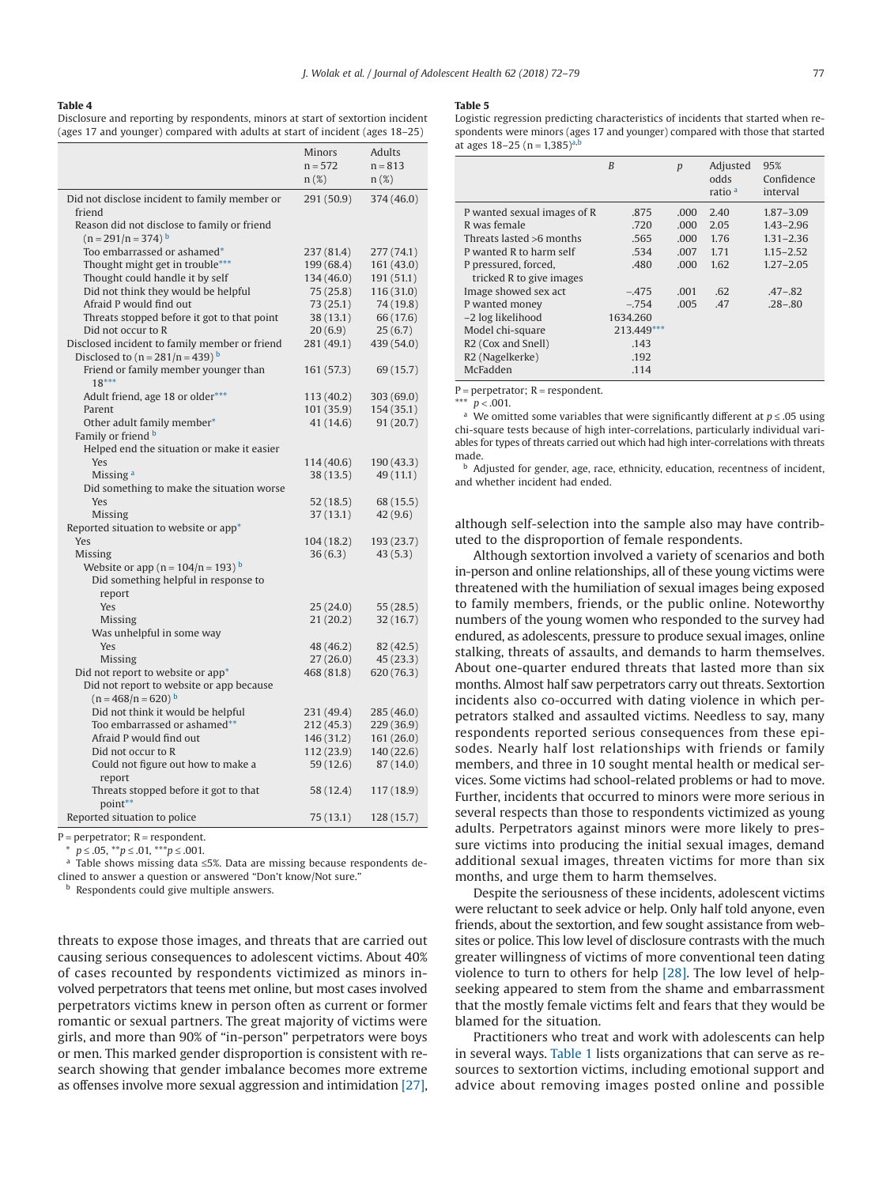#### <span id="page-5-0"></span>**Table 4**

Disclosure and reporting by respondents, minors at start of sextortion incident (ages 17 and younger) compared with adults at start of incident (ages 18–25)

|         |                                                                | Minors<br>$n = 572$<br>$n(\%)$ | Adults<br>$n = 813$<br>$n(\%)$ |
|---------|----------------------------------------------------------------|--------------------------------|--------------------------------|
|         | Did not disclose incident to family member or                  | 291 (50.9)                     | 374 (46.0)                     |
| friend  |                                                                |                                |                                |
|         | Reason did not disclose to family or friend                    |                                |                                |
|         | $(n = 291/n = 374)^{b}$                                        |                                |                                |
|         | Too embarrassed or ashamed*                                    | 237(81.4)                      | 277 (74.1)                     |
|         | Thought might get in trouble***                                | 199 (68.4)                     | 161(43.0)                      |
|         | Thought could handle it by self                                | 134 (46.0)                     | 191(51.1)                      |
|         | Did not think they would be helpful<br>Afraid P would find out | 75 (25.8)                      | 116 (31.0)                     |
|         | Threats stopped before it got to that point                    | 73 (25.1)<br>38(13.1)          | 74 (19.8)<br>66 (17.6)         |
|         | Did not occur to R                                             | 20(6.9)                        | 25(6.7)                        |
|         | Disclosed incident to family member or friend                  | 281 (49.1)                     | 439 (54.0)                     |
|         | Disclosed to $(n = 281/n = 439)^{b}$                           |                                |                                |
|         | Friend or family member younger than                           | 161 (57.3)                     | 69 (15.7)                      |
|         | $18^{\circ}$                                                   |                                |                                |
|         | Adult friend, age 18 or older                                  | 113(40.2)                      | 303 (69.0)                     |
|         | Parent                                                         | 101(35.9)                      | 154(35.1)                      |
|         | Other adult family member*                                     | 41(14.6)                       | 91 (20.7)                      |
|         | Family or friend b                                             |                                |                                |
|         | Helped end the situation or make it easier                     |                                |                                |
|         | Yes                                                            | 114 (40.6)                     | 190 (43.3)                     |
|         | Missing <sup>a</sup>                                           | 38(13.5)                       | 49 (11.1)                      |
|         | Did something to make the situation worse                      |                                |                                |
|         | Yes                                                            | 52(18.5)                       | 68 (15.5)                      |
|         | Missing                                                        | 37(13.1)                       | 42(9.6)                        |
| Yes     | Reported situation to website or app*                          | 104(18.2)                      | 193 (23.7)                     |
| Missing |                                                                | 36(6.3)                        | 43(5.3)                        |
|         | Website or app ( $n = 104/n = 193$ ) b                         |                                |                                |
|         | Did something helpful in response to                           |                                |                                |
|         | report                                                         |                                |                                |
|         | Yes                                                            | 25(24.0)                       | 55 (28.5)                      |
|         | Missing                                                        | 21(20.2)                       | 32(16.7)                       |
|         | Was unhelpful in some way                                      |                                |                                |
|         | Yes                                                            | 48 (46.2)                      | 82 (42.5)                      |
|         | Missing                                                        | 27(26.0)                       | 45(23.3)                       |
|         | Did not report to website or app*                              | 468 (81.8)                     | 620 (76.3)                     |
|         | Did not report to website or app because                       |                                |                                |
|         | $(n = 468/n = 620)^{b}$                                        |                                |                                |
|         | Did not think it would be helpful                              | 231 (49.4)                     | 285 (46.0)                     |
|         | Too embarrassed or ashamed**                                   | 212 (45.3)                     | 229 (36.9)                     |
|         | Afraid P would find out                                        | 146 (31.2)                     | 161 (26.0)                     |
|         | Did not occur to R                                             | 112(23.9)                      | 140 (22.6)                     |
|         | Could not figure out how to make a                             | 59(12.6)                       | 87 (14.0)                      |
|         | report                                                         |                                |                                |
|         | Threats stopped before it got to that<br>point*                | 58 (12.4)                      | 117 (18.9)                     |
|         | Reported situation to police                                   | 75 (13.1)                      | 128 (15.7)                     |
|         |                                                                |                                |                                |
|         | $P =$ perpetrator: $R =$ respondent.                           |                                |                                |

<span id="page-5-3"></span> $p \leq .05$ , \*\* $p \leq .01$ , \*\*\* $p \leq .001$ .

<span id="page-5-4"></span><sup>a</sup> Table shows missing data ≤5%. Data are missing because respondents declined to answer a question or answered "Don't know/Not sure."

<span id="page-5-2"></span>**b** Respondents could give multiple answers.

threats to expose those images, and threats that are carried out causing serious consequences to adolescent victims. About 40% of cases recounted by respondents victimized as minors involved perpetrators that teens met online, but most cases involved perpetrators victims knew in person often as current or former romantic or sexual partners. The great majority of victims were girls, and more than 90% of "in-person" perpetrators were boys or men. This marked gender disproportion is consistent with research showing that gender imbalance becomes more extreme as offenses involve more sexual aggression and intimidation [\[27\],](#page-7-3)

#### <span id="page-5-1"></span>**Table 5**

Logistic regression predicting characteristics of incidents that started when respondents were minors (ages 17 and younger) compared with those that started at ages  $18-25$  (n =  $1.385$ )<sup>a,[b](#page-5-6)</sup>

|                                                  | B          | p     | Adjusted<br>odds<br>ratio <sup>a</sup> | 95%<br>Confidence<br>interval |
|--------------------------------------------------|------------|-------|----------------------------------------|-------------------------------|
| P wanted sexual images of R                      | .875       | .000  | 2.40                                   | $1.87 - 3.09$                 |
| R was female                                     | .720       | .000  | 2.05                                   | $1.43 - 2.96$                 |
| Threats lasted $>6$ months                       | .565       | .000. | 1.76                                   | $1.31 - 2.36$                 |
| P wanted R to harm self                          | .534       | .007  | 1.71                                   | $1.15 - 2.52$                 |
| P pressured, forced,<br>tricked R to give images | .480       | .000  | 1.62                                   | $1.27 - 2.05$                 |
| Image showed sex act                             | $-.475$    | .001  | .62                                    | $.47 - .82$                   |
| P wanted money                                   | $-.754$    | .005  | .47                                    | $.28 - .80$                   |
| -2 log likelihood                                | 1634.260   |       |                                        |                               |
| Model chi-square                                 | 213.449*** |       |                                        |                               |
| R <sub>2</sub> (Cox and Snell)                   | .143       |       |                                        |                               |
| R <sub>2</sub> (Nagelkerke)                      | .192       |       |                                        |                               |
| McFadden                                         | .114       |       |                                        |                               |

 $P =$  perpetrator;  $R =$  respondent.

<span id="page-5-7"></span> $p < .001$ .

<span id="page-5-5"></span><sup>a</sup> We omitted some variables that were significantly different at  $p \le 0.05$  using chi-square tests because of high inter-correlations, particularly individual variables for types of threats carried out which had high inter-correlations with threats made.

<span id="page-5-6"></span>b Adjusted for gender, age, race, ethnicity, education, recentness of incident, and whether incident had ended.

although self-selection into the sample also may have contributed to the disproportion of female respondents.

Although sextortion involved a variety of scenarios and both in-person and online relationships, all of these young victims were threatened with the humiliation of sexual images being exposed to family members, friends, or the public online. Noteworthy numbers of the young women who responded to the survey had endured, as adolescents, pressure to produce sexual images, online stalking, threats of assaults, and demands to harm themselves. About one-quarter endured threats that lasted more than six months. Almost half saw perpetrators carry out threats. Sextortion incidents also co-occurred with dating violence in which perpetrators stalked and assaulted victims. Needless to say, many respondents reported serious consequences from these episodes. Nearly half lost relationships with friends or family members, and three in 10 sought mental health or medical services. Some victims had school-related problems or had to move. Further, incidents that occurred to minors were more serious in several respects than those to respondents victimized as young adults. Perpetrators against minors were more likely to pressure victims into producing the initial sexual images, demand additional sexual images, threaten victims for more than six months, and urge them to harm themselves.

Despite the seriousness of these incidents, adolescent victims were reluctant to seek advice or help. Only half told anyone, even friends, about the sextortion, and few sought assistance from websites or police. This low level of disclosure contrasts with the much greater willingness of victims of more conventional teen dating violence to turn to others for help [\[28\].](#page-7-4) The low level of helpseeking appeared to stem from the shame and embarrassment that the mostly female victims felt and fears that they would be blamed for the situation.

Practitioners who treat and work with adolescents can help in several ways. [Table 1](#page-2-0) lists organizations that can serve as resources to sextortion victims, including emotional support and advice about removing images posted online and possible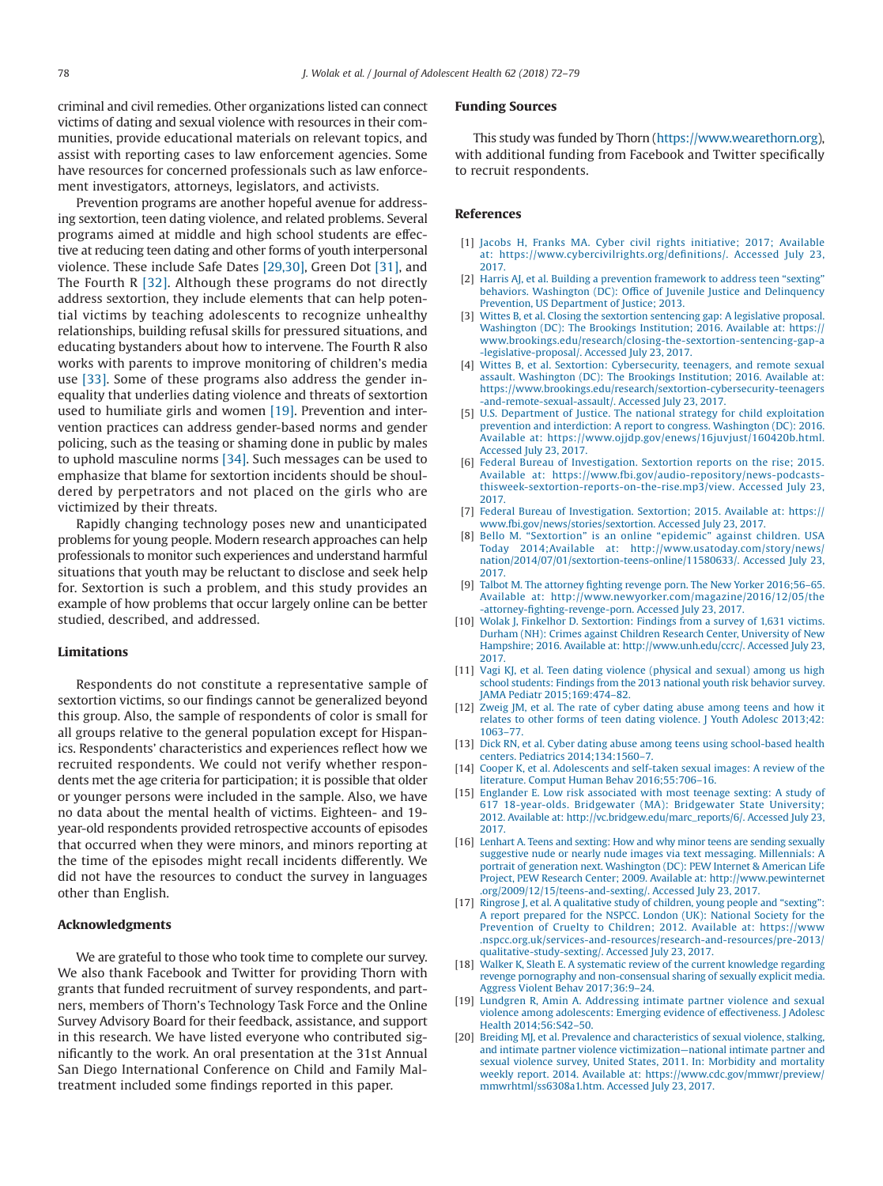criminal and civil remedies. Other organizations listed can connect victims of dating and sexual violence with resources in their communities, provide educational materials on relevant topics, and assist with reporting cases to law enforcement agencies. Some have resources for concerned professionals such as law enforcement investigators, attorneys, legislators, and activists.

Prevention programs are another hopeful avenue for addressing sextortion, teen dating violence, and related problems. Several programs aimed at middle and high school students are effective at reducing teen dating and other forms of youth interpersonal violence. These include Safe Dates [\[29,30\],](#page-7-5) Green Dot [\[31\],](#page-7-6) and The Fourth R [\[32\].](#page-7-7) Although these programs do not directly address sextortion, they include elements that can help potential victims by teaching adolescents to recognize unhealthy relationships, building refusal skills for pressured situations, and educating bystanders about how to intervene. The Fourth R also works with parents to improve monitoring of children's media use [\[33\].](#page-7-8) Some of these programs also address the gender inequality that underlies dating violence and threats of sextortion used to humiliate girls and women [\[19\].](#page-6-12) Prevention and intervention practices can address gender-based norms and gender policing, such as the teasing or shaming done in public by males to uphold masculine norms [\[34\].](#page-7-9) Such messages can be used to emphasize that blame for sextortion incidents should be shouldered by perpetrators and not placed on the girls who are victimized by their threats.

Rapidly changing technology poses new and unanticipated problems for young people. Modern research approaches can help professionals to monitor such experiences and understand harmful situations that youth may be reluctant to disclose and seek help for. Sextortion is such a problem, and this study provides an example of how problems that occur largely online can be better studied, described, and addressed.

## **Limitations**

Respondents do not constitute a representative sample of sextortion victims, so our findings cannot be generalized beyond this group. Also, the sample of respondents of color is small for all groups relative to the general population except for Hispanics. Respondents' characteristics and experiences reflect how we recruited respondents. We could not verify whether respondents met the age criteria for participation; it is possible that older or younger persons were included in the sample. Also, we have no data about the mental health of victims. Eighteen- and 19 year-old respondents provided retrospective accounts of episodes that occurred when they were minors, and minors reporting at the time of the episodes might recall incidents differently. We did not have the resources to conduct the survey in languages other than English.

#### **Acknowledgments**

We are grateful to those who took time to complete our survey. We also thank Facebook and Twitter for providing Thorn with grants that funded recruitment of survey respondents, and partners, members of Thorn's Technology Task Force and the Online Survey Advisory Board for their feedback, assistance, and support in this research. We have listed everyone who contributed significantly to the work. An oral presentation at the 31st Annual San Diego International Conference on Child and Family Maltreatment included some findings reported in this paper.

## **Funding Sources**

This study was funded by Thorn [\(https://www.wearethorn.org\)](https://www.wearethorn.org), with additional funding from Facebook and Twitter specifically to recruit respondents.

#### **References**

- <span id="page-6-0"></span>[1] [Jacobs H, Franks MA. Cyber civil rights initiative; 2017; Available](http://refhub.elsevier.com/S1054-139X(17)30423-8/sr0010) at: [https://www.cybercivilrights.org/definitions/.](https://www.cybercivilrights.org/definitions/) Accessed July 23, 2017.
- <span id="page-6-1"></span>[2] [Harris AJ, et al. Building a prevention framework to address teen "sexting"](http://refhub.elsevier.com/S1054-139X(17)30423-8/sr0015) [behaviors. Washington \(DC\): Office of Juvenile Justice and Delinquency](http://refhub.elsevier.com/S1054-139X(17)30423-8/sr0015) [Prevention, US Department of Justice; 2013.](http://refhub.elsevier.com/S1054-139X(17)30423-8/sr0015)
- <span id="page-6-2"></span>[3] [Wittes B, et al. Closing the sextortion sentencing gap: A legislative proposal.](http://refhub.elsevier.com/S1054-139X(17)30423-8/sr0020) Washington (DC): The Brookings Institution; 2016. Available at: [https://](https://www.brookings.edu/research/closing-the-sextortion-sentencing-gap-a-legislative-proposal/) [www.brookings.edu/research/closing-the-sextortion-sentencing-gap-a](https://www.brookings.edu/research/closing-the-sextortion-sentencing-gap-a-legislative-proposal/) [-legislative-proposal/.](https://www.brookings.edu/research/closing-the-sextortion-sentencing-gap-a-legislative-proposal/) Accessed July 23, 2017.
- <span id="page-6-5"></span>[4] [Wittes B, et al. Sextortion: Cybersecurity, teenagers, and remote sexual](http://refhub.elsevier.com/S1054-139X(17)30423-8/sr0025) [assault. Washington \(DC\): The Brookings Institution; 2016. Available at:](http://refhub.elsevier.com/S1054-139X(17)30423-8/sr0025) [https://www.brookings.edu/research/sextortion-cybersecurity-teenagers](https://www.brookings.edu/research/sextortion-cybersecurity-teenagers-and-remote-sexual-assault/) [-and-remote-sexual-assault/.](https://www.brookings.edu/research/sextortion-cybersecurity-teenagers-and-remote-sexual-assault/) Accessed July 23, 2017.
- <span id="page-6-3"></span>[5] [U.S. Department of Justice. The national strategy for child exploitation](http://refhub.elsevier.com/S1054-139X(17)30423-8/sr0030) [prevention and interdiction: A report to congress. Washington \(DC\): 2016.](http://refhub.elsevier.com/S1054-139X(17)30423-8/sr0030) Available at: [https://www.ojjdp.gov/enews/16juvjust/160420b.html.](https://www.ojjdp.gov/enews/16juvjust/160420b.html) Accessed July 23, 2017.
- [6] [Federal Bureau of Investigation. Sextortion reports on the rise; 2015.](http://refhub.elsevier.com/S1054-139X(17)30423-8/sr0035) Available at: [https://www.fbi.gov/audio-repository/news-podcasts](https://www.fbi.gov/audio-repository/news-podcasts-thisweek-sextortion-reports-on-the-rise.mp3/view)[thisweek-sextortion-reports-on-the-rise.mp3/view.](https://www.fbi.gov/audio-repository/news-podcasts-thisweek-sextortion-reports-on-the-rise.mp3/view) Accessed July 23, 2017.
- [7] Federal Bureau of Investigation. Sextortion; 2015. Available at: [https://](https://www.fbi.gov/news/stories/sextortion) [www.fbi.gov/news/stories/sextortion.](https://www.fbi.gov/news/stories/sextortion) Accessed July 23, 2017.
- <span id="page-6-4"></span>[8] [Bello M. "Sextortion" is an online "epidemic" against children. USA](http://refhub.elsevier.com/S1054-139X(17)30423-8/sr0045) Today 2014;Available at: [http://www.usatoday.com/story/news/](http://www.usatoday.com/story/news/nation/2014/07/01/sextortion-teens-online/11580633/) [nation/2014/07/01/sextortion-teens-online/11580633/.](http://www.usatoday.com/story/news/nation/2014/07/01/sextortion-teens-online/11580633/) Accessed July 23, 2017.
- <span id="page-6-6"></span>[9] [Talbot M. The attorney fighting revenge porn. The New Yorker 2016;56–65.](http://refhub.elsevier.com/S1054-139X(17)30423-8/sr0050) Available at: [http://www.newyorker.com/magazine/2016/12/05/the](http://www.newyorker.com/magazine/2016/12/05/the-attorney-fighting-revenge-porn) [-attorney-fighting-revenge-porn.](http://www.newyorker.com/magazine/2016/12/05/the-attorney-fighting-revenge-porn) Accessed July 23, 2017.
- [10] [Wolak J, Finkelhor D. Sextortion: Findings from a survey of 1,631 victims.](http://refhub.elsevier.com/S1054-139X(17)30423-8/sr0055) [Durham \(NH\): Crimes against Children Research Center, University of New](http://refhub.elsevier.com/S1054-139X(17)30423-8/sr0055) Hampshire; 2016. Available at: [http://www.unh.edu/ccrc/.](http://www.unh.edu/ccrc/) Accessed July 23, 2017.
- <span id="page-6-7"></span>[11] [Vagi KJ, et al. Teen dating violence \(physical and sexual\) among us high](http://refhub.elsevier.com/S1054-139X(17)30423-8/sr0060) [school students: Findings from the 2013 national youth risk behavior survey.](http://refhub.elsevier.com/S1054-139X(17)30423-8/sr0060) [JAMA Pediatr 2015;169:474–82.](http://refhub.elsevier.com/S1054-139X(17)30423-8/sr0060)
- <span id="page-6-8"></span>[12] [Zweig JM, et al. The rate of cyber dating abuse among teens and how it](http://refhub.elsevier.com/S1054-139X(17)30423-8/sr0065) [relates to other forms of teen dating violence. J Youth Adolesc 2013;42:](http://refhub.elsevier.com/S1054-139X(17)30423-8/sr0065) [1063–77.](http://refhub.elsevier.com/S1054-139X(17)30423-8/sr0065)
- <span id="page-6-9"></span>[13] [Dick RN, et al. Cyber dating abuse among teens using school-based health](http://refhub.elsevier.com/S1054-139X(17)30423-8/sr0070) [centers. Pediatrics 2014;134:1560–7.](http://refhub.elsevier.com/S1054-139X(17)30423-8/sr0070)
- <span id="page-6-10"></span>[14] [Cooper K, et al. Adolescents and self-taken sexual images: A review of the](http://refhub.elsevier.com/S1054-139X(17)30423-8/sr0075) [literature. Comput Human Behav 2016;55:706–16.](http://refhub.elsevier.com/S1054-139X(17)30423-8/sr0075)
- [15] [Englander E. Low risk associated with most teenage sexting: A study of](http://refhub.elsevier.com/S1054-139X(17)30423-8/sr0080) [617 18-year-olds. Bridgewater \(MA\): Bridgewater State University;](http://refhub.elsevier.com/S1054-139X(17)30423-8/sr0080) 2012. Available at: [http://vc.bridgew.edu/marc\\_reports/6/.](http://vc.bridgew.edu/marc_reports/6/) Accessed July 23, 2017.
- [16] [Lenhart A. Teens and sexting: How and why minor teens are sending sexually](http://refhub.elsevier.com/S1054-139X(17)30423-8/sr0085) [suggestive nude or nearly nude images via text messaging. Millennials: A](http://refhub.elsevier.com/S1054-139X(17)30423-8/sr0085) [portrait of generation next. Washington \(DC\): PEW Internet & American Life](http://refhub.elsevier.com/S1054-139X(17)30423-8/sr0085) Project, PEW Research Center; 2009. Available at: [http://www.pewinternet](http://www.pewinternet.org/2009/12/15/teens-and-sexting/) [.org/2009/12/15/teens-and-sexting/.](http://www.pewinternet.org/2009/12/15/teens-and-sexting/) Accessed July 23, 2017.
- [17] [Ringrose J, et al. A qualitative study of children, young people and "sexting":](http://refhub.elsevier.com/S1054-139X(17)30423-8/sr0090) [A report prepared for the NSPCC. London \(UK\): National Society for the](http://refhub.elsevier.com/S1054-139X(17)30423-8/sr0090) Prevention of Cruelty to Children; 2012. Available at: [https://www](https://www.nspcc.org.uk/services-and-resources/research-and-resources/pre-2013/qualitative-study-sexting/) [.nspcc.org.uk/services-and-resources/research-and-resources/pre-2013/](https://www.nspcc.org.uk/services-and-resources/research-and-resources/pre-2013/qualitative-study-sexting/) [qualitative-study-sexting/.](https://www.nspcc.org.uk/services-and-resources/research-and-resources/pre-2013/qualitative-study-sexting/) Accessed July 23, 2017.
- [18] [Walker K, Sleath E. A systematic review of the current knowledge regarding](http://refhub.elsevier.com/S1054-139X(17)30423-8/sr0095) [revenge pornography and non-consensual sharing of sexually explicit media.](http://refhub.elsevier.com/S1054-139X(17)30423-8/sr0095) [Aggress Violent Behav 2017;36:9–24.](http://refhub.elsevier.com/S1054-139X(17)30423-8/sr0095)
- <span id="page-6-12"></span>[19] [Lundgren R, Amin A. Addressing intimate partner violence and sexual](http://refhub.elsevier.com/S1054-139X(17)30423-8/sr0100) [violence among adolescents: Emerging evidence of effectiveness. J Adolesc](http://refhub.elsevier.com/S1054-139X(17)30423-8/sr0100) [Health 2014;56:S42–50.](http://refhub.elsevier.com/S1054-139X(17)30423-8/sr0100)
- <span id="page-6-11"></span>[20] [Breiding MJ, et al. Prevalence and characteristics of sexual violence, stalking,](http://refhub.elsevier.com/S1054-139X(17)30423-8/sr0105) [and intimate partner violence victimization—national intimate partner and](http://refhub.elsevier.com/S1054-139X(17)30423-8/sr0105) [sexual violence survey, United States, 2011. In: Morbidity and mortality](http://refhub.elsevier.com/S1054-139X(17)30423-8/sr0105) weekly report. 2014. Available at: [https://www.cdc.gov/mmwr/preview/](https://www.cdc.gov/mmwr/preview/mmwrhtml/ss6308a1.htm) [mmwrhtml/ss6308a1.htm.](https://www.cdc.gov/mmwr/preview/mmwrhtml/ss6308a1.htm) Accessed July 23, 2017.